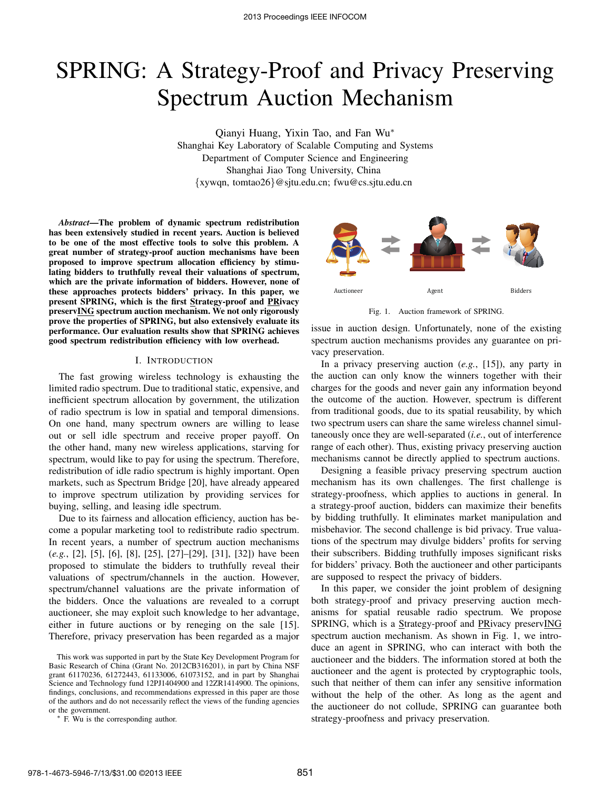# SPRING: A Strategy-Proof and Privacy Preserving Spectrum Auction Mechanism

Qianyi Huang, Yixin Tao, and Fan Wu*∗* Shanghai Key Laboratory of Scalable Computing and Systems Department of Computer Science and Engineering Shanghai Jiao Tong University, China *{*xywqn, tomtao26*}*@sjtu.edu.cn; fwu@cs.sjtu.edu.cn

*Abstract*—The problem of dynamic spectrum redistribution has been extensively studied in recent years. Auction is believed to be one of the most effective tools to solve this problem. A great number of strategy-proof auction mechanisms have been proposed to improve spectrum allocation efficiency by stimulating bidders to truthfully reveal their valuations of spectrum, which are the private information of bidders. However, none of these approaches protects bidders' privacy. In this paper, we present SPRING, which is the first Strategy-proof and PRivacy preservING spectrum auction mechanism. We not only rigorously prove the properties of SPRING, but also extensively evaluate its performance. Our evaluation results show that SPRING achieves good spectrum redistribution efficiency with low overhead.

## I. INTRODUCTION

The fast growing wireless technology is exhausting the limited radio spectrum. Due to traditional static, expensive, and inefficient spectrum allocation by government, the utilization of radio spectrum is low in spatial and temporal dimensions. On one hand, many spectrum owners are willing to lease out or sell idle spectrum and receive proper payoff. On the other hand, many new wireless applications, starving for spectrum, would like to pay for using the spectrum. Therefore, redistribution of idle radio spectrum is highly important. Open markets, such as Spectrum Bridge [20], have already appeared to improve spectrum utilization by providing services for buying, selling, and leasing idle spectrum.

Due to its fairness and allocation efficiency, auction has become a popular marketing tool to redistribute radio spectrum. In recent years, a number of spectrum auction mechanisms (*e.g.*, [2], [5], [6], [8], [25], [27]–[29], [31], [32]) have been proposed to stimulate the bidders to truthfully reveal their valuations of spectrum/channels in the auction. However, spectrum/channel valuations are the private information of the bidders. Once the valuations are revealed to a corrupt auctioneer, she may exploit such knowledge to her advantage, either in future auctions or by reneging on the sale [15]. Therefore, privacy preservation has been regarded as a major



Fig. 1. Auction framework of SPRING.

issue in auction design. Unfortunately, none of the existing spectrum auction mechanisms provides any guarantee on privacy preservation.

In a privacy preserving auction (*e.g.*, [15]), any party in the auction can only know the winners together with their charges for the goods and never gain any information beyond the outcome of the auction. However, spectrum is different from traditional goods, due to its spatial reusability, by which two spectrum users can share the same wireless channel simultaneously once they are well-separated (*i.e.*, out of interference range of each other). Thus, existing privacy preserving auction mechanisms cannot be directly applied to spectrum auctions.

Designing a feasible privacy preserving spectrum auction mechanism has its own challenges. The first challenge is strategy-proofness, which applies to auctions in general. In a strategy-proof auction, bidders can maximize their benefits by bidding truthfully. It eliminates market manipulation and misbehavior. The second challenge is bid privacy. True valuations of the spectrum may divulge bidders' profits for serving their subscribers. Bidding truthfully imposes significant risks for bidders' privacy. Both the auctioneer and other participants are supposed to respect the privacy of bidders.

In this paper, we consider the joint problem of designing both strategy-proof and privacy preserving auction mechanisms for spatial reusable radio spectrum. We propose SPRING, which is a Strategy-proof and PRivacy preservING spectrum auction mechanism. As shown in Fig. 1, we introduce an agent in SPRING, who can interact with both the auctioneer and the bidders. The information stored at both the auctioneer and the agent is protected by cryptographic tools, such that neither of them can infer any sensitive information without the help of the other. As long as the agent and the auctioneer do not collude, SPRING can guarantee both strategy-proofness and privacy preservation.

This work was supported in part by the State Key Development Program for Basic Research of China (Grant No. 2012CB316201), in part by China NSF grant 61170236, 61272443, 61133006, 61073152, and in part by Shanghai Science and Technology fund 12PJ1404900 and 12ZR1414900. The opinions, findings, conclusions, and recommendations expressed in this paper are those of the authors and do not necessarily reflect the views of the funding agencies or the government.

*<sup>∗</sup>* F. Wu is the corresponding author.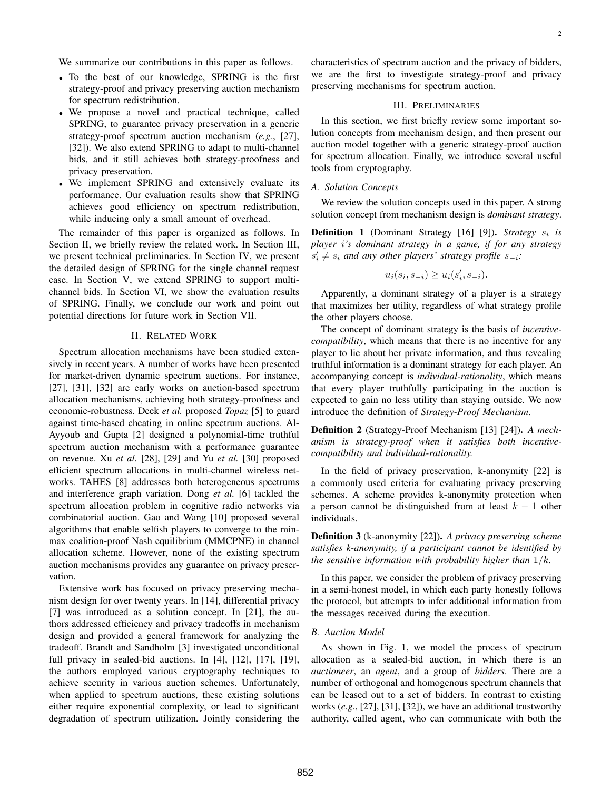We summarize our contributions in this paper as follows.

- *•* To the best of our knowledge, SPRING is the first strategy-proof and privacy preserving auction mechanism for spectrum redistribution.
- *•* We propose a novel and practical technique, called SPRING, to guarantee privacy preservation in a generic strategy-proof spectrum auction mechanism (*e.g.*, [27], [32]). We also extend SPRING to adapt to multi-channel bids, and it still achieves both strategy-proofness and privacy preservation.
- We implement SPRING and extensively evaluate its performance. Our evaluation results show that SPRING achieves good efficiency on spectrum redistribution, while inducing only a small amount of overhead.

The remainder of this paper is organized as follows. In Section II, we briefly review the related work. In Section III, we present technical preliminaries. In Section IV, we present the detailed design of SPRING for the single channel request case. In Section V, we extend SPRING to support multichannel bids. In Section VI, we show the evaluation results of SPRING. Finally, we conclude our work and point out potential directions for future work in Section VII.

## II. RELATED WORK

Spectrum allocation mechanisms have been studied extensively in recent years. A number of works have been presented for market-driven dynamic spectrum auctions. For instance, [27], [31], [32] are early works on auction-based spectrum allocation mechanisms, achieving both strategy-proofness and economic-robustness. Deek *et al.* proposed *Topaz* [5] to guard against time-based cheating in online spectrum auctions. Al-Ayyoub and Gupta [2] designed a polynomial-time truthful spectrum auction mechanism with a performance guarantee on revenue. Xu *et al.* [28], [29] and Yu *et al.* [30] proposed efficient spectrum allocations in multi-channel wireless networks. TAHES [8] addresses both heterogeneous spectrums and interference graph variation. Dong *et al.* [6] tackled the spectrum allocation problem in cognitive radio networks via combinatorial auction. Gao and Wang [10] proposed several algorithms that enable selfish players to converge to the minmax coalition-proof Nash equilibrium (MMCPNE) in channel allocation scheme. However, none of the existing spectrum auction mechanisms provides any guarantee on privacy preservation.

Extensive work has focused on privacy preserving mechanism design for over twenty years. In [14], differential privacy [7] was introduced as a solution concept. In [21], the authors addressed efficiency and privacy tradeoffs in mechanism design and provided a general framework for analyzing the tradeoff. Brandt and Sandholm [3] investigated unconditional full privacy in sealed-bid auctions. In [4], [12], [17], [19], the authors employed various cryptography techniques to achieve security in various auction schemes. Unfortunately, when applied to spectrum auctions, these existing solutions either require exponential complexity, or lead to significant degradation of spectrum utilization. Jointly considering the

characteristics of spectrum auction and the privacy of bidders, we are the first to investigate strategy-proof and privacy preserving mechanisms for spectrum auction.

## III. PRELIMINARIES

In this section, we first briefly review some important solution concepts from mechanism design, and then present our auction model together with a generic strategy-proof auction for spectrum allocation. Finally, we introduce several useful tools from cryptography.

## *A. Solution Concepts*

We review the solution concepts used in this paper. A strong solution concept from mechanism design is *dominant strategy*.

Definition 1 (Dominant Strategy [16] [9]). *Strategy s<sup>i</sup> is player i's dominant strategy in a game, if for any strategy s ′ i ̸*= *s<sup>i</sup> and any other players' strategy profile s−<sup>i</sup>:*

$$
u_i(s_i, s_{-i}) \ge u_i(s'_i, s_{-i}).
$$

Apparently, a dominant strategy of a player is a strategy that maximizes her utility, regardless of what strategy profile the other players choose.

The concept of dominant strategy is the basis of *incentivecompatibility*, which means that there is no incentive for any player to lie about her private information, and thus revealing truthful information is a dominant strategy for each player. An accompanying concept is *individual-rationality*, which means that every player truthfully participating in the auction is expected to gain no less utility than staying outside. We now introduce the definition of *Strategy-Proof Mechanism*.

Definition 2 (Strategy-Proof Mechanism [13] [24]). *A mechanism is strategy-proof when it satisfies both incentivecompatibility and individual-rationality.*

In the field of privacy preservation, k-anonymity [22] is a commonly used criteria for evaluating privacy preserving schemes. A scheme provides k-anonymity protection when a person cannot be distinguished from at least *k −* 1 other individuals.

Definition 3 (k-anonymity [22]). *A privacy preserving scheme satisfies k-anonymity, if a participant cannot be identified by the sensitive information with probability higher than* 1*/k.*

In this paper, we consider the problem of privacy preserving in a semi-honest model, in which each party honestly follows the protocol, but attempts to infer additional information from the messages received during the execution.

#### *B. Auction Model*

As shown in Fig. 1, we model the process of spectrum allocation as a sealed-bid auction, in which there is an *auctioneer*, an *agent*, and a group of *bidders*. There are a number of orthogonal and homogenous spectrum channels that can be leased out to a set of bidders. In contrast to existing works (*e.g.*, [27], [31], [32]), we have an additional trustworthy authority, called agent, who can communicate with both the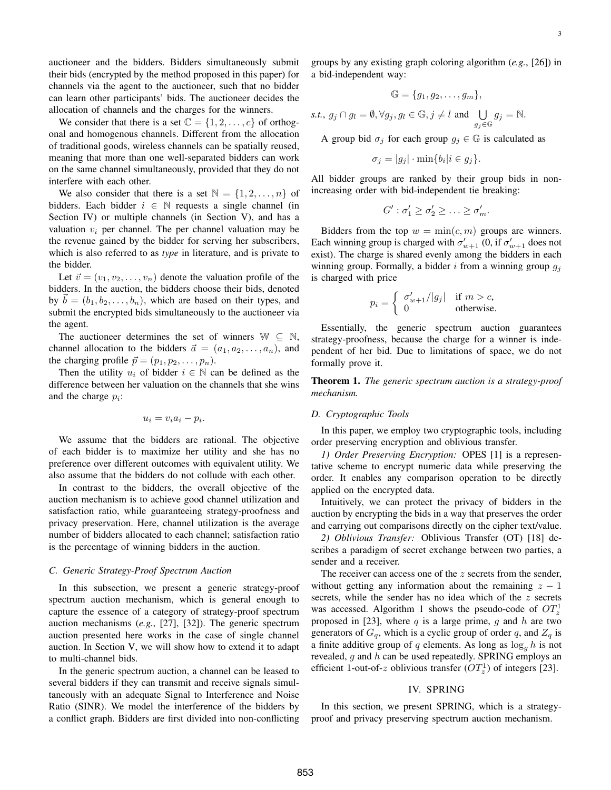auctioneer and the bidders. Bidders simultaneously submit their bids (encrypted by the method proposed in this paper) for channels via the agent to the auctioneer, such that no bidder can learn other participants' bids. The auctioneer decides the allocation of channels and the charges for the winners.

We consider that there is a set  $\mathbb{C} = \{1, 2, \ldots, c\}$  of orthogonal and homogenous channels. Different from the allocation of traditional goods, wireless channels can be spatially reused, meaning that more than one well-separated bidders can work on the same channel simultaneously, provided that they do not interfere with each other.

We also consider that there is a set  $\mathbb{N} = \{1, 2, \ldots, n\}$  of bidders. Each bidder  $i \in \mathbb{N}$  requests a single channel (in Section IV) or multiple channels (in Section V), and has a valuation  $v_i$  per channel. The per channel valuation may be the revenue gained by the bidder for serving her subscribers, which is also referred to as *type* in literature, and is private to the bidder.

Let  $\vec{v} = (v_1, v_2, \dots, v_n)$  denote the valuation profile of the bidders. In the auction, the bidders choose their bids, denoted by  $b = (b_1, b_2, \ldots, b_n)$ , which are based on their types, and submit the encrypted bids simultaneously to the auctioneer via the agent.

The auctioneer determines the set of winners W *⊆* N, channel allocation to the bidders  $\vec{a} = (a_1, a_2, \dots, a_n)$ , and the charging profile  $\vec{p} = (p_1, p_2, \dots, p_n)$ .

Then the utility  $u_i$  of bidder  $i \in \mathbb{N}$  can be defined as the difference between her valuation on the channels that she wins and the charge *p<sup>i</sup>* :

$$
u_i = v_i a_i - p_i.
$$

We assume that the bidders are rational. The objective of each bidder is to maximize her utility and she has no preference over different outcomes with equivalent utility. We also assume that the bidders do not collude with each other.

In contrast to the bidders, the overall objective of the auction mechanism is to achieve good channel utilization and satisfaction ratio, while guaranteeing strategy-proofness and privacy preservation. Here, channel utilization is the average number of bidders allocated to each channel; satisfaction ratio is the percentage of winning bidders in the auction.

#### *C. Generic Strategy-Proof Spectrum Auction*

In this subsection, we present a generic strategy-proof spectrum auction mechanism, which is general enough to capture the essence of a category of strategy-proof spectrum auction mechanisms (*e.g.*, [27], [32]). The generic spectrum auction presented here works in the case of single channel auction. In Section V, we will show how to extend it to adapt to multi-channel bids.

In the generic spectrum auction, a channel can be leased to several bidders if they can transmit and receive signals simultaneously with an adequate Signal to Interference and Noise Ratio (SINR). We model the interference of the bidders by a conflict graph. Bidders are first divided into non-conflicting groups by any existing graph coloring algorithm (*e.g.*, [26]) in a bid-independent way:

$$
\mathbb{G} = \{g_1, g_2, \ldots, g_m\},\
$$

*s.t.*,  $g_j \cap g_l = \emptyset, \forall g_j, g_l \in \mathbb{G}, j \neq l$  and ∪ *gj∈*G  $g_j = N$ .

A group bid  $\sigma_j$  for each group  $g_j \in \mathbb{G}$  is calculated as

$$
\sigma_j = |g_j| \cdot \min\{b_i | i \in g_j\}.
$$

All bidder groups are ranked by their group bids in nonincreasing order with bid-independent tie breaking:

$$
G': \sigma'_1 \geq \sigma'_2 \geq \ldots \geq \sigma'_m.
$$

Bidders from the top  $w = \min(c, m)$  groups are winners. Each winning group is charged with  $\sigma'_{w+1}$  (0, if  $\sigma'_{w+1}$  does not exist). The charge is shared evenly among the bidders in each winning group. Formally, a bidder *i* from a winning group *g<sup>j</sup>* is charged with price

$$
p_i = \begin{cases} \sigma'_{w+1}/|g_j| & \text{if } m > c, \\ 0 & \text{otherwise.} \end{cases}
$$

Essentially, the generic spectrum auction guarantees strategy-proofness, because the charge for a winner is independent of her bid. Due to limitations of space, we do not formally prove it.

Theorem 1. *The generic spectrum auction is a strategy-proof mechanism.*

## *D. Cryptographic Tools*

In this paper, we employ two cryptographic tools, including order preserving encryption and oblivious transfer.

*1) Order Preserving Encryption:* OPES [1] is a representative scheme to encrypt numeric data while preserving the order. It enables any comparison operation to be directly applied on the encrypted data.

Intuitively, we can protect the privacy of bidders in the auction by encrypting the bids in a way that preserves the order and carrying out comparisons directly on the cipher text/value.

*2) Oblivious Transfer:* Oblivious Transfer (OT) [18] describes a paradigm of secret exchange between two parties, a sender and a receiver.

The receiver can access one of the *z* secrets from the sender, without getting any information about the remaining  $z - 1$ secrets, while the sender has no idea which of the *z* secrets was accessed. Algorithm 1 shows the pseudo-code of  $OT_z^1$ proposed in [23], where *q* is a large prime, *g* and *h* are two generators of  $G_q$ , which is a cyclic group of order q, and  $Z_q$  is a finite additive group of *q* elements. As long as  $\log_a h$  is not revealed, *g* and *h* can be used repeatedly. SPRING employs an efficient 1-out-of-*z* oblivious transfer  $(OT_z^1)$  of integers [23].

## IV. SPRING

In this section, we present SPRING, which is a strategyproof and privacy preserving spectrum auction mechanism.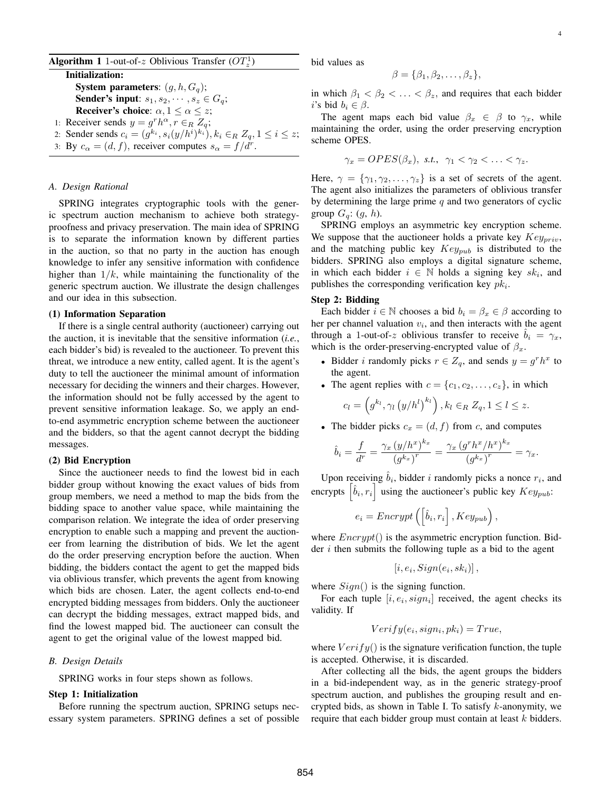## Algorithm 1 1-out-of-*z* Oblivious Transfer  $(OT_z^1)$

Initialization: **System parameters:**  $(g, h, G_q)$ ; Sender's input:  $s_1, s_2, \cdots, s_z \in G_q$ ; Receiver's choice:  $\alpha, 1 \leq \alpha \leq z$ ;

- 1: Receiver sends  $y = g^r h^\alpha, r \in_R Z_q$ ;
- 2: Sender sends  $c_i = (g^{k_i}, s_i(y/h^i)^{k_i}), k_i \in R Z_q, 1 \le i \le z;$
- 3: By  $c_{\alpha} = (d, f)$ , receiver computes  $s_{\alpha} = f/d^{r}$ .

## *A. Design Rational*

SPRING integrates cryptographic tools with the generic spectrum auction mechanism to achieve both strategyproofness and privacy preservation. The main idea of SPRING is to separate the information known by different parties in the auction, so that no party in the auction has enough knowledge to infer any sensitive information with confidence higher than  $1/k$ , while maintaining the functionality of the generic spectrum auction. We illustrate the design challenges and our idea in this subsection.

## (1) Information Separation

If there is a single central authority (auctioneer) carrying out the auction, it is inevitable that the sensitive information (*i.e.*, each bidder's bid) is revealed to the auctioneer. To prevent this threat, we introduce a new entity, called agent. It is the agent's duty to tell the auctioneer the minimal amount of information necessary for deciding the winners and their charges. However, the information should not be fully accessed by the agent to prevent sensitive information leakage. So, we apply an endto-end asymmetric encryption scheme between the auctioneer and the bidders, so that the agent cannot decrypt the bidding messages.

## (2) Bid Encryption

Since the auctioneer needs to find the lowest bid in each bidder group without knowing the exact values of bids from group members, we need a method to map the bids from the bidding space to another value space, while maintaining the comparison relation. We integrate the idea of order preserving encryption to enable such a mapping and prevent the auctioneer from learning the distribution of bids. We let the agent do the order preserving encryption before the auction. When bidding, the bidders contact the agent to get the mapped bids via oblivious transfer, which prevents the agent from knowing which bids are chosen. Later, the agent collects end-to-end encrypted bidding messages from bidders. Only the auctioneer can decrypt the bidding messages, extract mapped bids, and find the lowest mapped bid. The auctioneer can consult the agent to get the original value of the lowest mapped bid.

#### *B. Design Details*

SPRING works in four steps shown as follows.

## Step 1: Initialization

Before running the spectrum auction, SPRING setups necessary system parameters. SPRING defines a set of possible bid values as

$$
\beta = {\beta_1, \beta_2, \ldots, \beta_z},
$$

in which  $\beta_1 < \beta_2 < \ldots < \beta_z$ , and requires that each bidder  $i$ 's bid  $b_i \in \beta$ .

The agent maps each bid value  $\beta_x \in \beta$  to  $\gamma_x$ , while maintaining the order, using the order preserving encryption scheme OPES.

$$
\gamma_x = OPES(\beta_x), \text{ s.t., } \gamma_1 < \gamma_2 < \ldots < \gamma_z.
$$

Here,  $\gamma = {\gamma_1, \gamma_2, \ldots, \gamma_z}$  is a set of secrets of the agent. The agent also initializes the parameters of oblivious transfer by determining the large prime *q* and two generators of cyclic group  $G_q$ :  $(q, h)$ .

SPRING employs an asymmetric key encryption scheme. We suppose that the auctioneer holds a private key *Keypriv*, and the matching public key *Keypub* is distributed to the bidders. SPRING also employs a digital signature scheme, in which each bidder  $i \in \mathbb{N}$  holds a signing key  $sk_i$ , and publishes the corresponding verification key *pk<sup>i</sup>* .

## Step 2: Bidding

Each bidder  $i \in \mathbb{N}$  chooses a bid  $b_i = \beta_x \in \beta$  according to her per channel valuation *v<sup>i</sup>* , and then interacts with the agent through a 1-out-of-*z* oblivious transfer to receive  $\hat{b}_i = \gamma_x$ , which is the order-preserving-encrypted value of  $\beta_x$ .

- Bidder *i* randomly picks  $r \in Z_q$ , and sends  $y = g^r h^x$  to the agent.
- The agent replies with  $c = \{c_1, c_2, \dots, c_z\}$ , in which

$$
c_l = \left(g^{k_l}, \gamma_l \left(y/h^l\right)^{k_l}\right), k_l \in_R Z_q, 1 \leq l \leq z.
$$

• The bidder picks  $c_x = (d, f)$  from *c*, and computes

$$
\hat{b}_i = \frac{f}{d^r} = \frac{\gamma_x \left( y/h^x \right)^{k_x}}{\left( g^{k_x} \right)^r} = \frac{\gamma_x \left( g^r h^x/h^x \right)^{k_x}}{\left( g^{k_x} \right)^r} = \gamma_x.
$$

Upon receiving  $\hat{b}_i$ , bidder *i* randomly picks a nonce  $r_i$ , and encrypts  $\left[\hat{b}_i, r_i\right]$  using the auctioneer's public key  $Key_{pub}$ :

$$
e_i = \text{Energy}\left(\left[\hat{b}_i, r_i\right], \text{Key}_{pub}\right),
$$

where *Encrypt*() is the asymmetric encryption function. Bidder *i* then submits the following tuple as a bid to the agent

$$
[i, e_i, Sign(e_i, sk_i)],
$$

where  $Sign()$  is the signing function.

For each tuple  $[i, e_i, sign_i]$  received, the agent checks its validity. If

$$
Verify(e_i, sign_i, pk_i) = True,
$$

where  $Verify()$  is the signature verification function, the tuple is accepted. Otherwise, it is discarded.

After collecting all the bids, the agent groups the bidders in a bid-independent way, as in the generic strategy-proof spectrum auction, and publishes the grouping result and encrypted bids, as shown in Table I. To satisfy *k*-anonymity, we require that each bidder group must contain at least *k* bidders.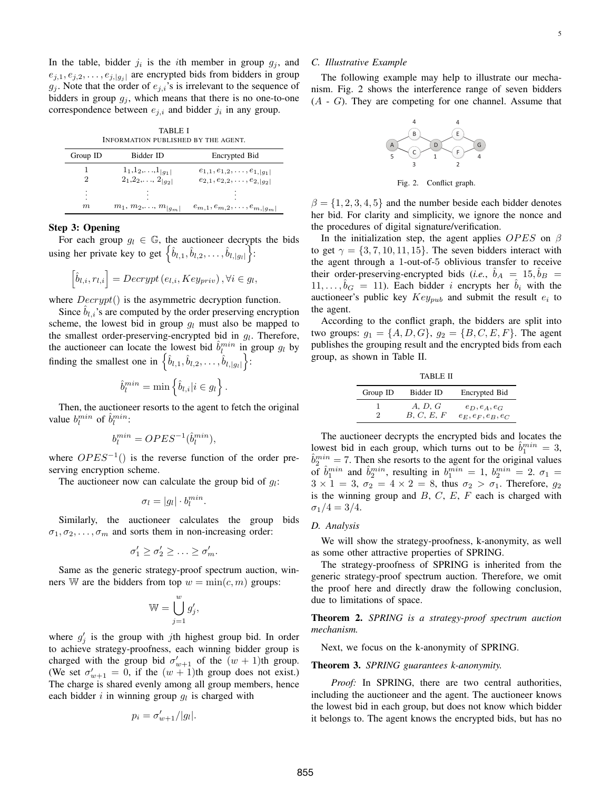In the table, bidder  $j_i$  is the *i*th member in group  $g_j$ , and  $e_{j,1}, e_{j,2}, \ldots, e_{j,|g_j|}$  are encrypted bids from bidders in group  $g_j$ . Note that the order of  $e_{j,i}$ 's is irrelevant to the sequence of bidders in group  $g_j$ , which means that there is no one-to-one correspondence between  $e_{j,i}$  and bidder  $j_i$  in any group.

TABLE I INFORMATION PUBLISHED BY THE AGENT.

| Group ID | Bidder ID                     | Encrypted Bid                           |
|----------|-------------------------------|-----------------------------------------|
|          | $1_1, 1_2, \ldots, 1_{ q_1 }$ | $e_{1,1}, e_{1,2}, \ldots, e_{1, g_1 }$ |
|          | $2_1, 2_2, \ldots, 2_{ g_2 }$ | $e_{2,1}, e_{2,2}, \ldots, e_{2, q_2 }$ |
| ٠<br>٠   |                               |                                         |
| ٠        |                               |                                         |
| $_{m}$   | $m_1, m_2, \ldots, m_{ g_m }$ | $e_{m,1}, e_{m,2}, \ldots, e_{m, g_m }$ |

## Step 3: Opening

For each group  $g_l \in \mathbb{G}$ , the auctioneer decrypts the bids using her private key to get  $\left\{\hat{b}_{l,1}, \hat{b}_{l,2}, \ldots, \hat{b}_{l, |g_l|}\right\}$ :

$$
\left[\hat{b}_{l,i}, r_{l,i}\right] = Decrypt\left(e_{l,i}, Key_{priv}\right), \forall i \in g_l,
$$

where *Decrypt*() is the asymmetric decryption function.

Since  $b_{l,i}$ 's are computed by the order preserving encryption scheme, the lowest bid in group  $g_l$  must also be mapped to the smallest order-preserving-encrypted bid in *g<sup>l</sup>* . Therefore, the auctioneer can locate the lowest bid  $\hat{b}_l^{min}$  in group  $g_l$  by finding the smallest one in  $\left\{\hat{b}_{l,1}, \hat{b}_{l,2}, \ldots, \hat{b}_{l,|g_l|}\right\}$ :

$$
\hat{b}_l^{min} = \min \left\{ \hat{b}_{l,i} | i \in g_l \right\}.
$$

Then, the auctioneer resorts to the agent to fetch the original value  $b_l^{min}$  of  $\hat{b}_l^{min}$ :

$$
b_l^{min} = OPES^{-1}(\hat{b}_l^{min}),
$$

where  $OPES^{-1}()$  is the reverse function of the order preserving encryption scheme.

The auctioneer now can calculate the group bid of  $g_l$ :

$$
\sigma_l = |g_l| \cdot b_l^{min}.
$$

Similarly, the auctioneer calculates the group bids  $\sigma_1, \sigma_2, \ldots, \sigma_m$  and sorts them in non-increasing order:

$$
\sigma'_1 \geq \sigma'_2 \geq \ldots \geq \sigma'_m.
$$

Same as the generic strategy-proof spectrum auction, winners W are the bidders from top  $w = \min(c, m)$  groups:

$$
\mathbb{W} = \bigcup_{j=1}^w g'_j,
$$

where  $g'_{j}$  is the group with *j*th highest group bid. In order to achieve strategy-proofness, each winning bidder group is charged with the group bid  $\sigma'_{w+1}$  of the  $(w + 1)$ th group. (We set  $\sigma'_{w+1} = 0$ , if the  $(w+1)$ th group does not exist.) The charge is shared evenly among all group members, hence each bidder  $i$  in winning group  $g_l$  is charged with

$$
p_i = \sigma'_{w+1}/|g_i|.
$$

#### *C. Illustrative Example*

The following example may help to illustrate our mechanism. Fig. 2 shows the interference range of seven bidders (*A* - *G*). They are competing for one channel. Assume that



Fig. 2. Conflict graph.

 $\beta = \{1, 2, 3, 4, 5\}$  and the number beside each bidder denotes her bid. For clarity and simplicity, we ignore the nonce and the procedures of digital signature/verification.

In the initialization step, the agent applies *OP ES* on *β* to get  $\gamma = \{3, 7, 10, 11, 15\}$ . The seven bidders interact with the agent through a 1-out-of-5 oblivious transfer to receive their order-preserving-encrypted bids (*i.e.*,  $\hat{b}_A = 15, \hat{b}_B =$ 11, ...,  $\hat{b}_G = 11$ ). Each bidder *i* encrypts her  $\hat{b}_i$  with the auctioneer's public key  $Key_{pub}$  and submit the result  $e_i$  to the agent.

According to the conflict graph, the bidders are split into two groups:  $g_1 = \{A, D, G\}$ ,  $g_2 = \{B, C, E, F\}$ . The agent publishes the grouping result and the encrypted bids from each group, as shown in Table II.

TABLE II Group ID Bidder ID Encrypted Bid 1 *A*, *D*, *G*  $e_D, e_A, e_G$ <br>2 *B*, *C*, *E*, *F*  $e_E, e_F, e_B, e_G$  $e_E, e_F, e_B, e_C$ 

The auctioneer decrypts the encrypted bids and locates the lowest bid in each group, which turns out to be  $\hat{b}_1^{min} = 3$ ,  $\hat{b}_2^{min} = 7$ . Then she resorts to the agent for the original values of  $\hat{b}_1^{min}$  and  $\hat{b}_2^{min}$ , resulting in  $b_1^{min} = 1$ ,  $b_2^{min} = 2$ .  $\sigma_1 =$  $3 \times 1 = 3$ ,  $\sigma_2 = 4 \times 2 = 8$ , thus  $\sigma_2 > \sigma_1$ . Therefore,  $g_2$ is the winning group and *B*, *C*, *E*, *F* each is charged with  $\sigma_1/4 = 3/4.$ 

## *D. Analysis*

We will show the strategy-proofness, k-anonymity, as well as some other attractive properties of SPRING.

The strategy-proofness of SPRING is inherited from the generic strategy-proof spectrum auction. Therefore, we omit the proof here and directly draw the following conclusion, due to limitations of space.

Theorem 2. *SPRING is a strategy-proof spectrum auction mechanism.*

Next, we focus on the k-anonymity of SPRING.

#### Theorem 3. *SPRING guarantees k-anonymity.*

Proof: In SPRING, there are two central authorities, including the auctioneer and the agent. The auctioneer knows the lowest bid in each group, but does not know which bidder it belongs to. The agent knows the encrypted bids, but has no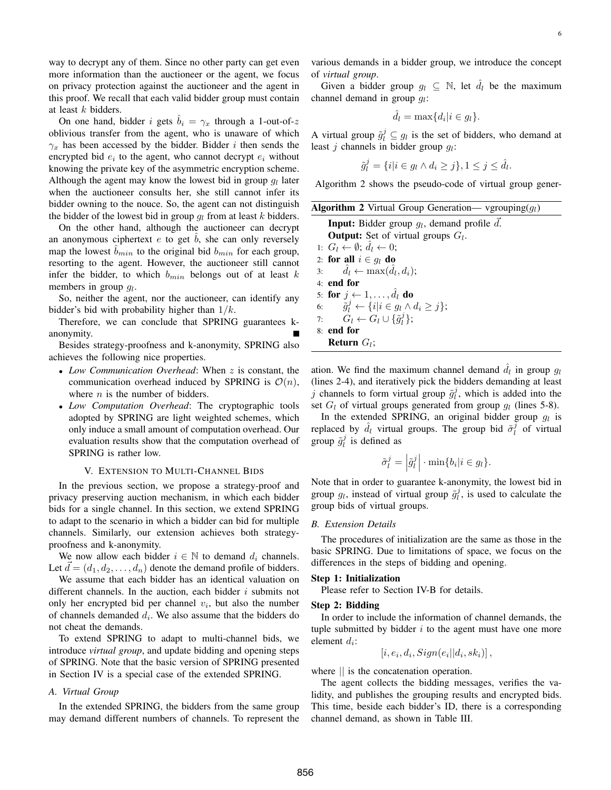way to decrypt any of them. Since no other party can get even more information than the auctioneer or the agent, we focus on privacy protection against the auctioneer and the agent in this proof. We recall that each valid bidder group must contain at least *k* bidders.

On one hand, bidder *i* gets  $b_i = \gamma_x$  through a 1-out-of-*z* oblivious transfer from the agent, who is unaware of which  $\gamma_x$  has been accessed by the bidder. Bidder *i* then sends the encrypted bid  $e_i$  to the agent, who cannot decrypt  $e_i$  without knowing the private key of the asymmetric encryption scheme. Although the agent may know the lowest bid in group  $g_l$  later when the auctioneer consults her, she still cannot infer its bidder owning to the nouce. So, the agent can not distinguish the bidder of the lowest bid in group  $q_l$  from at least  $k$  bidders.

On the other hand, although the auctioneer can decrypt an anonymous ciphertext  $e$  to get  $b$ , she can only reversely map the lowest  $b_{min}$  to the original bid  $b_{min}$  for each group, resorting to the agent. However, the auctioneer still cannot infer the bidder, to which *bmin* belongs out of at least *k* members in group *g<sup>l</sup>* .

So, neither the agent, nor the auctioneer, can identify any bidder's bid with probability higher than 1*/k*.

Therefore, we can conclude that SPRING guarantees kanonymity.

Besides strategy-proofness and k-anonymity, SPRING also achieves the following nice properties.

- *• Low Communication Overhead*: When *z* is constant, the communication overhead induced by SPRING is  $\mathcal{O}(n)$ , where *n* is the number of bidders.
- *• Low Computation Overhead*: The cryptographic tools adopted by SPRING are light weighted schemes, which only induce a small amount of computation overhead. Our evaluation results show that the computation overhead of SPRING is rather low.

#### V. EXTENSION TO MULTI-CHANNEL BIDS

In the previous section, we propose a strategy-proof and privacy preserving auction mechanism, in which each bidder bids for a single channel. In this section, we extend SPRING to adapt to the scenario in which a bidder can bid for multiple channels. Similarly, our extension achieves both strategyproofness and k-anonymity.

We now allow each bidder  $i \in \mathbb{N}$  to demand  $d_i$  channels. Let  $d = (d_1, d_2, \ldots, d_n)$  denote the demand profile of bidders.

We assume that each bidder has an identical valuation on different channels. In the auction, each bidder *i* submits not only her encrypted bid per channel  $v_i$ , but also the number of channels demanded *d<sup>i</sup>* . We also assume that the bidders do not cheat the demands.

To extend SPRING to adapt to multi-channel bids, we introduce *virtual group*, and update bidding and opening steps of SPRING. Note that the basic version of SPRING presented in Section IV is a special case of the extended SPRING.

## *A. Virtual Group*

In the extended SPRING, the bidders from the same group may demand different numbers of channels. To represent the various demands in a bidder group, we introduce the concept of *virtual group*.

Given a bidder group  $g_l \subseteq \mathbb{N}$ , let  $\hat{d}_l$  be the maximum channel demand in group *g<sup>l</sup>* :

$$
\hat{d}_l = \max\{d_i|i \in g_l\}.
$$

A virtual group  $\tilde{g}_l^j \subseteq g_l$  is the set of bidders, who demand at least *j* channels in bidder group *g<sup>l</sup>* :

$$
\tilde{g}_l^j = \{i | i \in g_l \land d_i \geq j\}, 1 \leq j \leq \hat{d}_l.
$$

Algorithm 2 shows the pseudo-code of virtual group gener-

| <b>Algorithm 2</b> Virtual Group Generation— vgrouping $(q_l)$           |  |  |
|--------------------------------------------------------------------------|--|--|
| <b>Input:</b> Bidder group $q_l$ , demand profile $\overrightarrow{d}$ . |  |  |
| <b>Output:</b> Set of virtual groups $G_l$ .                             |  |  |
| 1: $G_l \leftarrow \emptyset$ ; $\hat{d}_l \leftarrow 0$ ;               |  |  |
| 2: for all $i \in g_l$ do                                                |  |  |
| 3: $\hat{d}_l \leftarrow \max(\hat{d}_l, d_i);$                          |  |  |
| $4$ end for                                                              |  |  |
| 5: for $j \leftarrow 1, \ldots, \hat{d}_l$ do                            |  |  |
| 6: $\tilde{g}_i^j \leftarrow \{i   i \in g_l \wedge d_i \geq j\};$       |  |  |
| 7: $G_l \leftarrow G_l \cup \{\tilde{g}_l^j\};$                          |  |  |
| $8:$ end for                                                             |  |  |
| <b>Return</b> $G_i$ ;                                                    |  |  |
|                                                                          |  |  |

ation. We find the maximum channel demand  $\hat{d}_l$  in group  $g_l$ (lines 2-4), and iteratively pick the bidders demanding at least *j* channels to form virtual group  $\tilde{g}_l^j$ , which is added into the set  $G_l$  of virtual groups generated from group  $g_l$  (lines 5-8).

In the extended SPRING, an original bidder group  $g_l$  is replaced by  $\hat{d}_l$  virtual groups. The group bid  $\tilde{\sigma}_l^j$  of virtual group  $\tilde{g}_l^j$  is defined as

$$
\tilde{\sigma}_l^j = \left| \tilde{g}_l^j \right| \cdot \min\{b_i | i \in g_l\}.
$$

Note that in order to guarantee k-anonymity, the lowest bid in group  $g_l$ , instead of virtual group  $\tilde{g}_l^j$ , is used to calculate the group bids of virtual groups.

## *B. Extension Details*

The procedures of initialization are the same as those in the basic SPRING. Due to limitations of space, we focus on the differences in the steps of bidding and opening.

## Step 1: Initialization

Please refer to Section IV-B for details.

#### Step 2: Bidding

In order to include the information of channel demands, the tuple submitted by bidder *i* to the agent must have one more element *d<sup>i</sup>* :

$$
[i, e_i, d_i, Sign(e_i||d_i, sk_i)],
$$

where *||* is the concatenation operation.

The agent collects the bidding messages, verifies the validity, and publishes the grouping results and encrypted bids. This time, beside each bidder's ID, there is a corresponding channel demand, as shown in Table III.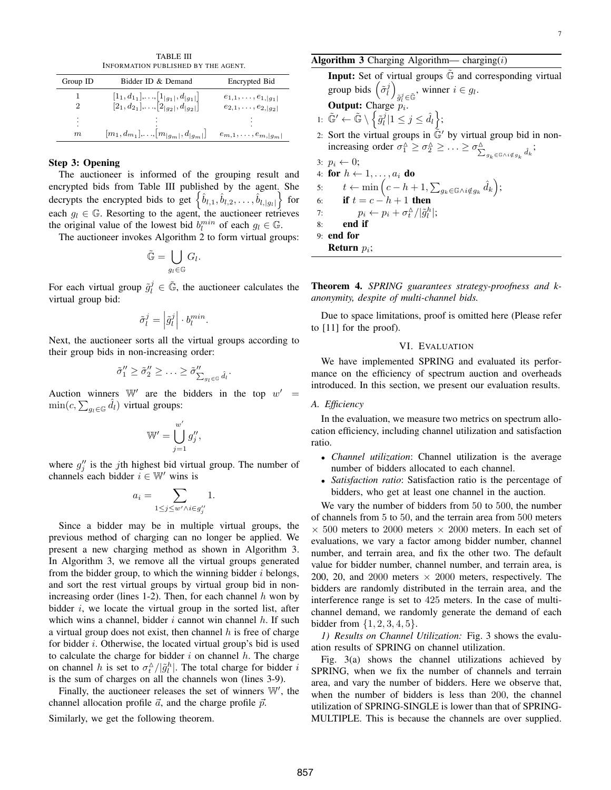TABLE III INFORMATION PUBLISHED BY THE AGENT.

| Group ID | Bidder ID & Demand                                                                                   | Encrypted Bid                  |
|----------|------------------------------------------------------------------------------------------------------|--------------------------------|
|          | $[1_1, d_{1_1}], \ldots, [1_{ g_1 }, d_{ g_1 }]$<br>$[2_1, d_{2_1}], \ldots, [2_{ g_2 }, d_{ g_2 }]$ | $e_{1,1},\ldots,e_{1, g_1 }$   |
|          |                                                                                                      | $e_{2,1},\ldots,e_{2, q_2 }$   |
| ٠        |                                                                                                      |                                |
|          |                                                                                                      |                                |
| m        | $[m_1, d_{m_1}], \ldots, [m_{ g_m }, d_{ g_m }]$                                                     | $e_{m,1}, \ldots, e_{m, q_m }$ |

## Step 3: Opening

The auctioneer is informed of the grouping result and encrypted bids from Table III published by the agent. She decrypts the encrypted bids to get  $\left\{\hat{b}_{l,1}, \hat{b}_{l,2}, \ldots, \hat{b}_{l, |g_l|}\right\}$  for each  $g_l \in \mathbb{G}$ . Resorting to the agent, the auctioneer retrieves the original value of the lowest bid  $b_l^{min}$  of each  $g_l \in \mathbb{G}$ .

The auctioneer invokes Algorithm 2 to form virtual groups:

$$
\tilde{\mathbb{G}} = \bigcup_{g_l \in \mathbb{G}} G_l.
$$

For each virtual group  $\tilde{g}_l^j \in \tilde{\mathbb{G}}$ , the auctioneer calculates the virtual group bid:

$$
\tilde{\sigma}_l^j = \left| \tilde{g}_l^j \right| \cdot b_l^{min}.
$$

Next, the auctioneer sorts all the virtual groups according to their group bids in non-increasing order:

$$
\tilde{\sigma}''_1 \ge \tilde{\sigma}''_2 \ge \ldots \ge \tilde{\sigma}''_{\sum_{g_l \in \mathbb{G}} \hat{d}_l}
$$

*.*

Auction winners  $\mathbb{W}'$  are the bidders in the top  $w' =$  $\min(c, \sum_{g_l \in \mathbb{G}} \hat{d}_l)$  virtual groups:

$$
\mathbb{W}' = \bigcup_{j=1}^{w'} g''_j,
$$

where  $g''_j$  is the *j*th highest bid virtual group. The number of channels each bidder  $i \in \mathbb{W}'$  wins is

$$
a_i = \sum_{1 \leq j \leq w' \wedge i \in g''_j} 1.
$$

Since a bidder may be in multiple virtual groups, the previous method of charging can no longer be applied. We present a new charging method as shown in Algorithm 3. In Algorithm 3, we remove all the virtual groups generated from the bidder group, to which the winning bidder *i* belongs, and sort the rest virtual groups by virtual group bid in nonincreasing order (lines 1-2). Then, for each channel *h* won by bidder *i*, we locate the virtual group in the sorted list, after which wins a channel, bidder *i* cannot win channel *h*. If such a virtual group does not exist, then channel *h* is free of charge for bidder *i*. Otherwise, the located virtual group's bid is used to calculate the charge for bidder *i* on channel *h*. The charge on channel *h* is set to  $\sigma_t^{\Delta}/|\tilde{g}_l^h|$ . The total charge for bidder *i* is the sum of charges on all the channels won (lines 3-9).

Finally, the auctioneer releases the set of winners W*′* , the channel allocation profile  $\vec{a}$ , and the charge profile  $\vec{p}$ .

Similarly, we get the following theorem.

## Algorithm 3 Charging Algorithm— charging(*i*)

|    | Input: Set of virtual groups $\ddot{G}$ and corresponding virtual                                                                                        |
|----|----------------------------------------------------------------------------------------------------------------------------------------------------------|
|    | group bids $(\tilde{\sigma}_l^j)_{\tilde{g}_l^j \in \tilde{\mathbb{G}}}$ , winner $i \in g_l$ .                                                          |
|    | <b>Output:</b> Charge $p_i$ .                                                                                                                            |
|    | 1: $\tilde{\mathbb{G}}' \leftarrow \tilde{\mathbb{G}} \setminus \left\{ \tilde{g}_l^j   1 \leq j \leq \hat{d}_l \right\};$                               |
|    | 2: Sort the virtual groups in $\mathbb{G}'$ by virtual group bid in non-                                                                                 |
|    | increasing order $\sigma_1^{\Delta} \geq \sigma_2^{\Delta} \geq \ldots \geq \sigma_{\sum_{g_k \in \mathbb{G} \wedge i \notin g_k}}^{\Delta} \hat{d}_k$ ; |
|    | 3: $p_i \leftarrow 0$ ;                                                                                                                                  |
|    | 4: for $h \leftarrow 1, \ldots, a_i$ do                                                                                                                  |
|    | 5: $t \leftarrow \min\left(c - h + 1, \sum_{g_k \in \mathbb{G} \wedge i \notin g_k} \hat{d}_k\right);$                                                   |
|    | 6: <b>if</b> $t = c - h + 1$ then                                                                                                                        |
|    | 7: $p_i \leftarrow p_i + \sigma_t^{\Delta}/ \tilde{g}_l^h ;$                                                                                             |
| 8: | end if                                                                                                                                                   |
|    | $9:$ end for                                                                                                                                             |
|    | <b>Return</b> $p_i$ ;                                                                                                                                    |

Theorem 4. *SPRING guarantees strategy-proofness and kanonymity, despite of multi-channel bids.*

Due to space limitations, proof is omitted here (Please refer to [11] for the proof).

## VI. EVALUATION

We have implemented SPRING and evaluated its performance on the efficiency of spectrum auction and overheads introduced. In this section, we present our evaluation results.

## *A. Efficiency*

In the evaluation, we measure two metrics on spectrum allocation efficiency, including channel utilization and satisfaction ratio.

- *• Channel utilization*: Channel utilization is the average number of bidders allocated to each channel.
- *• Satisfaction ratio*: Satisfaction ratio is the percentage of bidders, who get at least one channel in the auction.

We vary the number of bidders from 50 to 500, the number of channels from 5 to 50, and the terrain area from 500 meters *×* 500 meters to 2000 meters *×* 2000 meters. In each set of evaluations, we vary a factor among bidder number, channel number, and terrain area, and fix the other two. The default value for bidder number, channel number, and terrain area, is 200, 20, and 2000 meters *×* 2000 meters, respectively. The bidders are randomly distributed in the terrain area, and the interference range is set to 425 meters. In the case of multichannel demand, we randomly generate the demand of each bidder from *{*1*,* 2*,* 3*,* 4*,* 5*}*.

*1) Results on Channel Utilization:* Fig. 3 shows the evaluation results of SPRING on channel utilization.

Fig. 3(a) shows the channel utilizations achieved by SPRING, when we fix the number of channels and terrain area, and vary the number of bidders. Here we observe that, when the number of bidders is less than 200, the channel utilization of SPRING-SINGLE is lower than that of SPRING-MULTIPLE. This is because the channels are over supplied.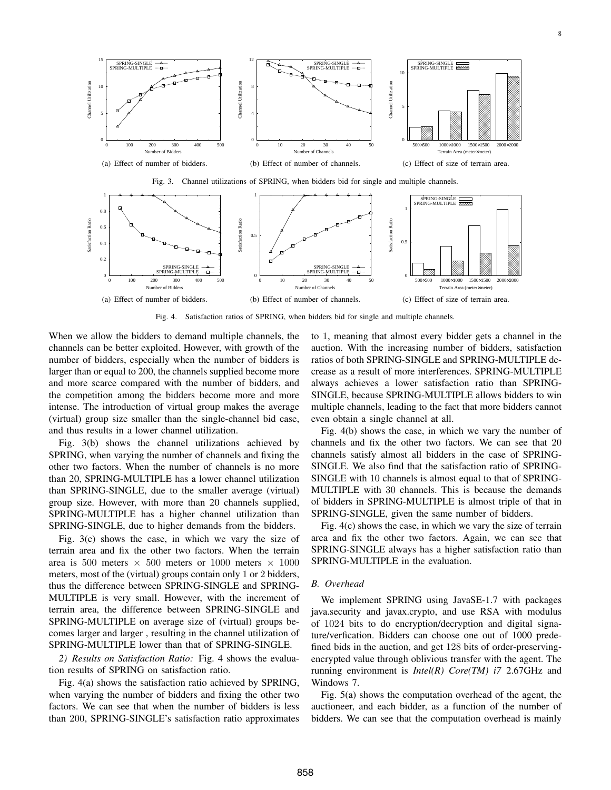

Fig. 4. Satisfaction ratios of SPRING, when bidders bid for single and multiple channels.

When we allow the bidders to demand multiple channels, the channels can be better exploited. However, with growth of the number of bidders, especially when the number of bidders is larger than or equal to 200, the channels supplied become more and more scarce compared with the number of bidders, and the competition among the bidders become more and more intense. The introduction of virtual group makes the average (virtual) group size smaller than the single-channel bid case, and thus results in a lower channel utilization.

Fig. 3(b) shows the channel utilizations achieved by SPRING, when varying the number of channels and fixing the other two factors. When the number of channels is no more than 20, SPRING-MULTIPLE has a lower channel utilization than SPRING-SINGLE, due to the smaller average (virtual) group size. However, with more than 20 channels supplied, SPRING-MULTIPLE has a higher channel utilization than SPRING-SINGLE, due to higher demands from the bidders.

Fig. 3(c) shows the case, in which we vary the size of terrain area and fix the other two factors. When the terrain area is 500 meters  $\times$  500 meters or 1000 meters  $\times$  1000 meters, most of the (virtual) groups contain only 1 or 2 bidders, thus the difference between SPRING-SINGLE and SPRING-MULTIPLE is very small. However, with the increment of terrain area, the difference between SPRING-SINGLE and SPRING-MULTIPLE on average size of (virtual) groups becomes larger and larger , resulting in the channel utilization of SPRING-MULTIPLE lower than that of SPRING-SINGLE.

*2) Results on Satisfaction Ratio:* Fig. 4 shows the evaluation results of SPRING on satisfaction ratio.

Fig. 4(a) shows the satisfaction ratio achieved by SPRING, when varying the number of bidders and fixing the other two factors. We can see that when the number of bidders is less than 200, SPRING-SINGLE's satisfaction ratio approximates to 1, meaning that almost every bidder gets a channel in the auction. With the increasing number of bidders, satisfaction ratios of both SPRING-SINGLE and SPRING-MULTIPLE decrease as a result of more interferences. SPRING-MULTIPLE always achieves a lower satisfaction ratio than SPRING-SINGLE, because SPRING-MULTIPLE allows bidders to win multiple channels, leading to the fact that more bidders cannot even obtain a single channel at all.

Fig. 4(b) shows the case, in which we vary the number of channels and fix the other two factors. We can see that 20 channels satisfy almost all bidders in the case of SPRING-SINGLE. We also find that the satisfaction ratio of SPRING-SINGLE with 10 channels is almost equal to that of SPRING-MULTIPLE with 30 channels. This is because the demands of bidders in SPRING-MULTIPLE is almost triple of that in SPRING-SINGLE, given the same number of bidders.

Fig. 4(c) shows the case, in which we vary the size of terrain area and fix the other two factors. Again, we can see that SPRING-SINGLE always has a higher satisfaction ratio than SPRING-MULTIPLE in the evaluation.

#### *B. Overhead*

We implement SPRING using JavaSE-1.7 with packages java.security and javax.crypto, and use RSA with modulus of 1024 bits to do encryption/decryption and digital signature/verfication. Bidders can choose one out of 1000 predefined bids in the auction, and get 128 bits of order-preservingencrypted value through oblivious transfer with the agent. The running environment is *Intel(R) Core(TM) i7* 2.67GHz and Windows 7.

Fig. 5(a) shows the computation overhead of the agent, the auctioneer, and each bidder, as a function of the number of bidders. We can see that the computation overhead is mainly